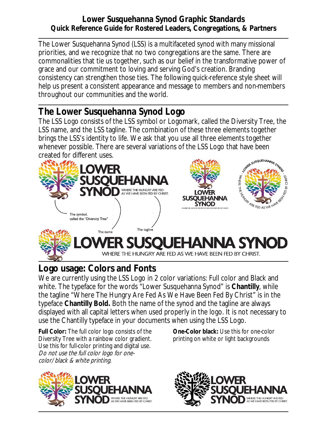## **Lower Susquehanna Synod Graphic Standards Quick Reference Guide for Rostered Leaders, Congregations, & Partners**

The Lower Susquehanna Synod (LSS) is a multifaceted synod with many missional priorities, and we recognize that no two congregations are the same. There are commonalities that tie us together, such as our belief in the transformative power of grace and our commitment to loving and serving God's creation. Branding consistency can strengthen those ties. The following quick-reference style sheet will help us present a consistent appearance and message to members and non-members throughout our communities and the world.

## **The Lower Susquehanna Synod Logo**

The LSS Logo consists of the LSS symbol or Logomark, called the Diversity Tree, the LSS name, and the LSS tagline. The combination of these three elements together brings the LSS's identity to life. We ask that you use all three elements together whenever possible. There are several variations of the LSS Logo that have been created for different uses.



## **Logo usage: Colors and Fonts**

We are currently using the LSS Logo in 2 color variations: Full color and Black and white. The typeface for the words "Lower Susquehanna Synod" is **Chantilly**, while the tagline "Where The Hungry Are Fed As We Have Been Fed By Christ" is in the typeface **Chantilly Bold.** Both the name of the synod and the tagline are always displayed with all capital letters when used properly in the logo. It is not necessary to use the Chantilly typeface in your documents when using the LSS Logo.

**Full Color:** The full color logo consists of the Diversity Tree with a rainbow color gradient. Use this for full-color printing and digital use. Do not use the full color logo for onecolor/black & white printing.



**One-Color black:** Use this for one-color printing on white or light backgrounds